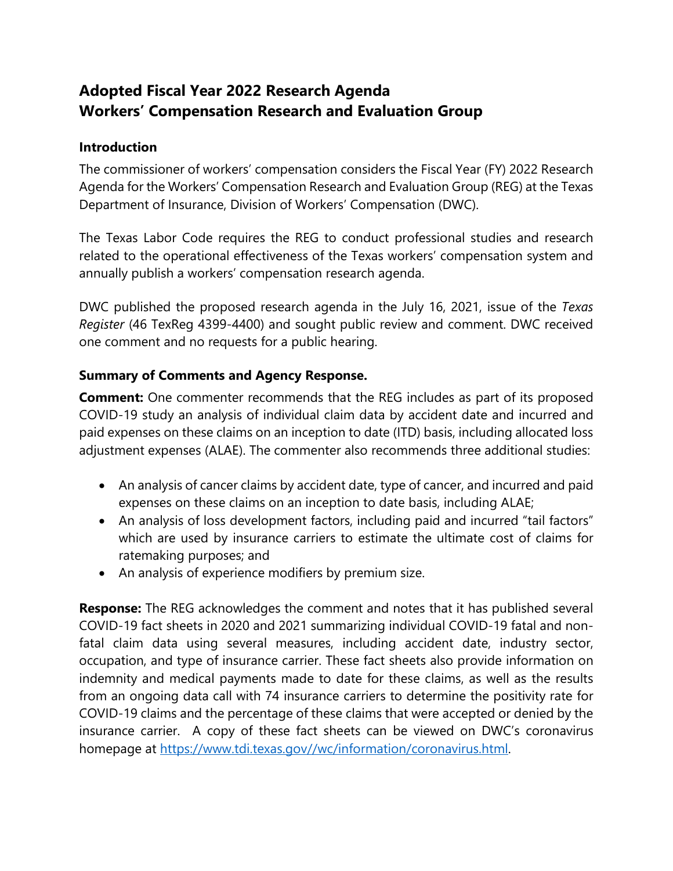## **Adopted Fiscal Year 2022 Research Agenda Workers' Compensation Research and Evaluation Group**

## **Introduction**

The commissioner of workers' compensation considers the Fiscal Year (FY) 2022 Research Agenda for the Workers' Compensation Research and Evaluation Group (REG) at the Texas Department of Insurance, Division of Workers' Compensation (DWC).

The Texas Labor Code requires the REG to conduct professional studies and research related to the operational effectiveness of the Texas workers' compensation system and annually publish a workers' compensation research agenda.

DWC published the proposed research agenda in the July 16, 2021, issue of the *Texas Register* (46 TexReg 4399-4400) and sought public review and comment. DWC received one comment and no requests for a public hearing.

## **Summary of Comments and Agency Response.**

**Comment:** One commenter recommends that the REG includes as part of its proposed COVID-19 study an analysis of individual claim data by accident date and incurred and paid expenses on these claims on an inception to date (ITD) basis, including allocated loss adjustment expenses (ALAE). The commenter also recommends three additional studies:

- An analysis of cancer claims by accident date, type of cancer, and incurred and paid expenses on these claims on an inception to date basis, including ALAE;
- An analysis of loss development factors, including paid and incurred "tail factors" which are used by insurance carriers to estimate the ultimate cost of claims for ratemaking purposes; and
- An analysis of experience modifiers by premium size.

**Response:** The REG acknowledges the comment and notes that it has published several COVID-19 fact sheets in 2020 and 2021 summarizing individual COVID-19 fatal and nonfatal claim data using several measures, including accident date, industry sector, occupation, and type of insurance carrier. These fact sheets also provide information on indemnity and medical payments made to date for these claims, as well as the results from an ongoing data call with 74 insurance carriers to determine the positivity rate for COVID-19 claims and the percentage of these claims that were accepted or denied by the insurance carrier. A copy of these fact sheets can be viewed on DWC's coronavirus homepage at [https://www.tdi.texas.gov//wc/information/coronavirus.html.](https://www.tdi.texas.gov/wc/information/coronavirus.html)